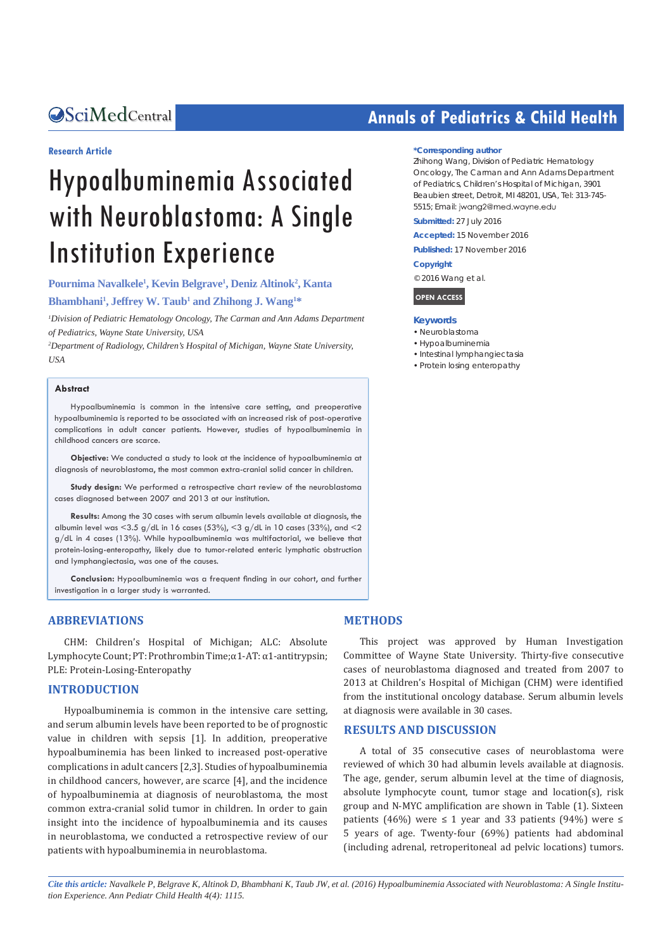#### **Research Article**

# Hypoalbuminemia Associated with Neuroblastoma: A Single Institution Experience

**Pournima Navalkele1 , Kevin Belgrave1 , Deniz Altinok2 , Kanta** 

**Bhambhani1 , Jeffrey W. Taub1 and Zhihong J. Wang1 \***

<sup>1</sup> Division of Pediatric Hematology Oncology, The Carman and Ann Adams Department *of Pediatrics, Wayne State University, USA*

*2 Department of Radiology, Children's Hospital of Michigan, Wayne State University, USA*

#### **Abstract**

Hypoalbuminemia is common in the intensive care setting, and preoperative hypoalbuminemia is reported to be associated with an increased risk of post-operative complications in adult cancer patients. However, studies of hypoalbuminemia in childhood cancers are scarce.

**Objective:** We conducted a study to look at the incidence of hypoalbuminemia at diagnosis of neuroblastoma, the most common extra-cranial solid cancer in children.

**Study design:** We performed a retrospective chart review of the neuroblastoma cases diagnosed between 2007 and 2013 at our institution.

**Results:** Among the 30 cases with serum albumin levels available at diagnosis, the albumin level was <3.5 g/dL in 16 cases (53%), <3 g/dL in 10 cases (33%), and <2 g/dL in 4 cases (13%). While hypoalbuminemia was multifactorial, we believe that protein-losing-enteropathy, likely due to tumor-related enteric lymphatic obstruction and lymphangiectasia, was one of the causes.

**Conclusion:** Hypoalbuminemia was a frequent finding in our cohort, and further investigation in a larger study is warranted.

#### **ABBREVIATIONS**

CHM: Children's Hospital of Michigan; ALC: Absolute Lymphocyte Count; PT: Prothrombin Time;α1-AT: α1-antitrypsin; PLE: Protein-Losing-Enteropathy

#### **INTRODUCTION**

Hypoalbuminemia is common in the intensive care setting, and serum albumin levels have been reported to be of prognostic value in children with sepsis [1]. In addition, preoperative hypoalbuminemia has been linked to increased post-operative complications in adult cancers [2,3]. Studies of hypoalbuminemia in childhood cancers, however, are scarce [4], and the incidence of hypoalbuminemia at diagnosis of neuroblastoma, the most common extra-cranial solid tumor in children. In order to gain insight into the incidence of hypoalbuminemia and its causes in neuroblastoma, we conducted a retrospective review of our patients with hypoalbuminemia in neuroblastoma.

## **CALCED Annals of Pediatrics & Child Health**

#### **\*Corresponding author**

Zhihong Wang, Division of Pediatric Hematology Oncology, The Carman and Ann Adams Department of Pediatrics, Children's Hospital of Michigan, 3901 Beaubien street, Detroit, MI 48201, USA, Tel: 313-745- 5515; Email: jwang2@med.wayne.edu

**Submitted:** 27 July 2016

**Accepted:** 15 November 2016

**Published:** 17 November 2016

**Copyright**

© 2016 Wang et al.

**OPEN ACCESS**

#### **Keywords**

- • Neuroblastoma
- • Hypoalbuminemia
- • Intestinal lymphangiectasia
- • Protein losing enteropathy

#### **METHODS**

This project was approved by Human Investigation Committee of Wayne State University. Thirty-five consecutive cases of neuroblastoma diagnosed and treated from 2007 to 2013 at Children's Hospital of Michigan (CHM) were identified from the institutional oncology database. Serum albumin levels at diagnosis were available in 30 cases.

#### **RESULTS AND DISCUSSION**

A total of 35 consecutive cases of neuroblastoma were reviewed of which 30 had albumin levels available at diagnosis. The age, gender, serum albumin level at the time of diagnosis, absolute lymphocyte count, tumor stage and location(s), risk group and N-MYC amplification are shown in Table (1). Sixteen patients (46%) were ≤ 1 year and 33 patients (94%) were ≤ 5 years of age. Twenty-four (69%) patients had abdominal (including adrenal, retroperitoneal ad pelvic locations) tumors.

*Cite this article: Navalkele P, Belgrave K, Altinok D, Bhambhani K, Taub JW, et al. (2016) Hypoalbuminemia Associated with Neuroblastoma: A Single Institution Experience. Ann Pediatr Child Health 4(4): 1115.*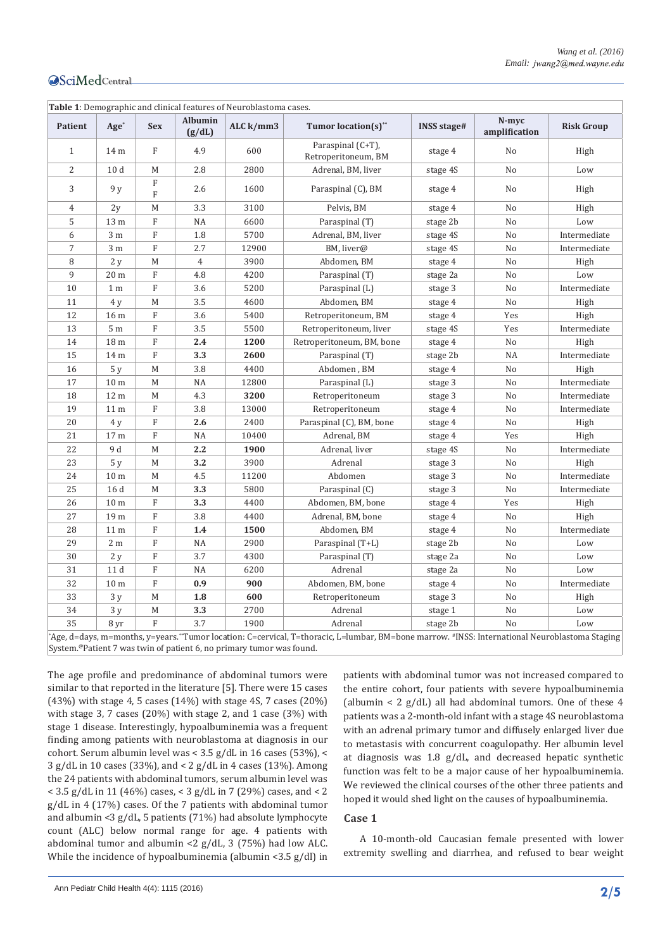| Patient      | $Age*$          | <b>Sex</b>                | Albumin<br>(g/dL) | ALC $k/mm3$ | <b>Tumor location(s)**</b>               | <b>INSS stage#</b> | N-mvc<br>amplification | <b>Risk Group</b> |
|--------------|-----------------|---------------------------|-------------------|-------------|------------------------------------------|--------------------|------------------------|-------------------|
| $\mathbf{1}$ | 14 m            | ${\rm F}$                 | 4.9               | 600         | Paraspinal (C+T),<br>Retroperitoneum, BM | stage 4            | N <sub>0</sub>         | High              |
| 2            | 10 <sub>d</sub> | М                         | 2.8               | 2800        | Adrenal, BM, liver                       | stage 4S           | No                     | Low               |
| 3            | 9 y             | $\rm F$<br>$\overline{F}$ | 2.6               | 1600        | Paraspinal (C), BM                       | stage 4            | No                     | High              |
| 4            | 2y              | М                         | 3.3               | 3100        | Pelvis, BM                               | stage 4            | No                     | High              |
| 5            | 13 m            | $\rm F$                   | NA                | 6600        | Paraspinal (T)                           | stage 2b           | No                     | Low               |
| 6            | 3 <sub>m</sub>  | $\rm F$                   | 1.8               | 5700        | Adrenal, BM, liver                       | stage 4S           | No                     | Intermediate      |
| 7            | $3\ {\rm m}$    | $\mathbf F$               | 2.7               | 12900       | BM, liver@                               | stage 4S           | No                     | Intermediate      |
| 8            | 2y              | М                         | $\overline{4}$    | 3900        | Abdomen, BM                              | stage 4            | No                     | High              |
| 9            | 20 <sub>m</sub> | $\rm F$                   | 4.8               | 4200        | Paraspinal (T)                           | stage 2a           | No                     | Low               |
| 10           | 1 <sub>m</sub>  | $\rm F$                   | 3.6               | 5200        | Paraspinal (L)                           | stage 3            | No                     | Intermediate      |
| 11           | 4y              | М                         | 3.5               | 4600        | Abdomen, BM                              | stage 4            | No                     | High              |
| 12           | 16 m            | ${\rm F}$                 | 3.6               | 5400        | Retroperitoneum, BM                      | stage 4            | Yes                    | High              |
| 13           | 5 <sub>m</sub>  | $\rm F$                   | 3.5               | 5500        | Retroperitoneum, liver                   | stage 4S           | Yes                    | Intermediate      |
| 14           | 18 m            | $\mathbf F$               | 2.4               | 1200        | Retroperitoneum, BM, bone                | stage 4            | No                     | High              |
| 15           | 14 m            | $\mathbf F$               | 3.3               | 2600        | Paraspinal (T)                           | stage 2b           | <b>NA</b>              | Intermediate      |
| 16           | 5y              | М                         | 3.8               | 4400        | Abdomen, BM                              | stage 4            | No                     | High              |
| 17           | 10 <sub>m</sub> | М                         | NA                | 12800       | Paraspinal (L)                           | stage 3            | No                     | Intermediate      |
| 18           | 12 m            | М                         | 4.3               | 3200        | Retroperitoneum                          | stage 3            | No                     | Intermediate      |
| 19           | 11 <sub>m</sub> | $\rm F$                   | 3.8               | 13000       | Retroperitoneum                          | stage 4            | No                     | Intermediate      |
| 20           | 4y              | $\mathbf F$               | 2.6               | 2400        | Paraspinal (C), BM, bone                 | stage 4            | No                     | High              |
| 21           | 17 <sub>m</sub> | $\rm F$                   | NA                | 10400       | Adrenal, BM                              | stage 4            | Yes                    | High              |
| 22           | 9 d             | М                         | 2.2               | 1900        | Adrenal, liver                           | stage 4S           | No                     | Intermediate      |
| 23           | 5y              | М                         | 3.2               | 3900        | Adrenal                                  | stage 3            | No                     | High              |
| 24           | 10 <sub>m</sub> | М                         | 4.5               | 11200       | Abdomen                                  | stage 3            | No                     | Intermediate      |
| 25           | 16 d            | М                         | 3.3               | 5800        | Paraspinal (C)                           | stage 3            | No                     | Intermediate      |
| 26           | 10 <sub>m</sub> | $\rm F$                   | 3.3               | 4400        | Abdomen, BM, bone                        | stage 4            | Yes                    | High              |
| 27           | 19 m            | $\rm F$                   | 3.8               | 4400        | Adrenal, BM, bone                        | stage 4            | No                     | High              |
| 28           | 11 <sub>m</sub> | ${\bf F}$                 | 1.4               | 1500        | Abdomen, BM                              | stage 4            | No                     | Intermediate      |
| 29           | 2 <sub>m</sub>  | $\rm F$                   | NA                | 2900        | Paraspinal (T+L)                         | stage 2b           | No                     | Low               |
| 30           | 2y              | ${\rm F}$                 | 3.7               | 4300        | Paraspinal (T)                           | stage 2a           | No                     | Low               |
| 31           | 11d             | ${\bf F}$                 | NA                | 6200        | Adrenal                                  | stage 2a           | No                     | Low               |
| 32           | 10 <sub>m</sub> | $\rm F$                   | 0.9               | 900         | Abdomen, BM, bone                        | stage 4            | No                     | Intermediate      |
| 33           | 3y              | М                         | 1.8               | 600         | Retroperitoneum                          | stage 3            | No                     | High              |
| 34           | 3y              | М                         | 3.3               | 2700        | Adrenal                                  | stage 1            | No                     | Low               |
| 35           | 8 yr            | $\overline{F}$            | 3.7               | 1900        | Adrenal                                  | stage 2b           | No                     | Low               |

System.@Patient 7 was twin of patient 6, no primary tumor was found.

The age profile and predominance of abdominal tumors were similar to that reported in the literature [5]. There were 15 cases (43%) with stage 4, 5 cases (14%) with stage 4S, 7 cases (20%) with stage 3, 7 cases (20%) with stage 2, and 1 case (3%) with stage 1 disease. Interestingly, hypoalbuminemia was a frequent finding among patients with neuroblastoma at diagnosis in our cohort. Serum albumin level was < 3.5 g/dL in 16 cases (53%), < 3 g/dL in 10 cases (33%), and < 2 g/dL in 4 cases (13%). Among the 24 patients with abdominal tumors, serum albumin level was < 3.5 g/dL in 11 (46%) cases, < 3 g/dL in 7 (29%) cases, and < 2 g/dL in 4 (17%) cases. Of the 7 patients with abdominal tumor and albumin <3 g/dL, 5 patients (71%) had absolute lymphocyte count (ALC) below normal range for age. 4 patients with abdominal tumor and albumin <2 g/dL, 3 (75%) had low ALC. While the incidence of hypoalbuminemia (albumin <3.5 g/dl) in

patients with abdominal tumor was not increased compared to the entire cohort, four patients with severe hypoalbuminemia (albumin < 2  $g/dL$ ) all had abdominal tumors. One of these 4 patients was a 2-month-old infant with a stage 4S neuroblastoma with an adrenal primary tumor and diffusely enlarged liver due to metastasis with concurrent coagulopathy. Her albumin level at diagnosis was 1.8 g/dL, and decreased hepatic synthetic function was felt to be a major cause of her hypoalbuminemia. We reviewed the clinical courses of the other three patients and hoped it would shed light on the causes of hypoalbuminemia.

#### **Case 1**

A 10-month-old Caucasian female presented with lower extremity swelling and diarrhea, and refused to bear weight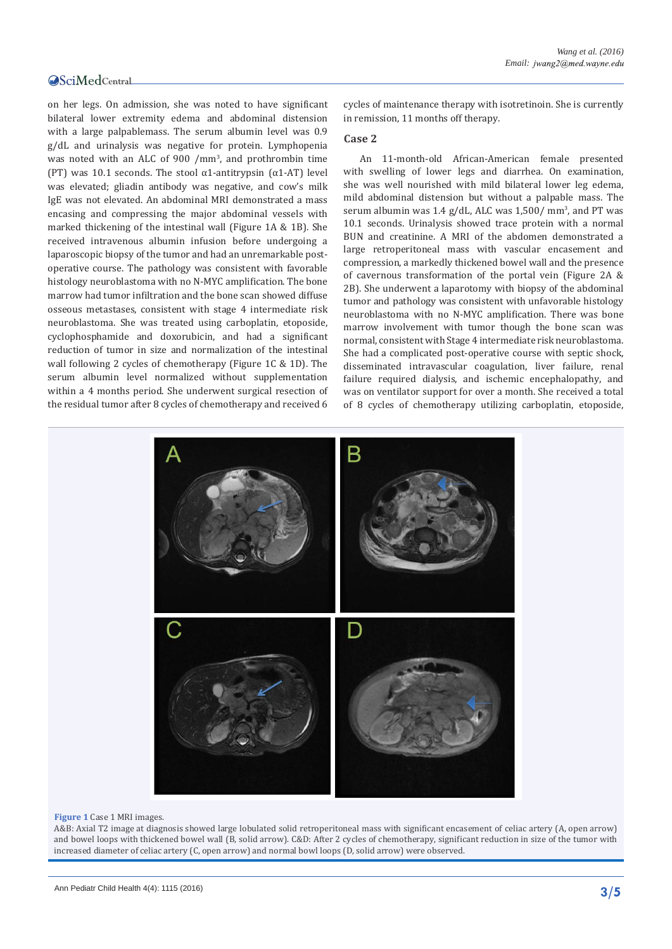on her legs. On admission, she was noted to have significant bilateral lower extremity edema and abdominal distension with a large palpablemass. The serum albumin level was 0.9 g/dL and urinalysis was negative for protein. Lymphopenia was noted with an ALC of 900 /mm<sup>3</sup> , and prothrombin time (PT) was 10.1 seconds. The stool  $\alpha$ 1-antitrypsin ( $\alpha$ 1-AT) level was elevated; gliadin antibody was negative, and cow's milk IgE was not elevated. An abdominal MRI demonstrated a mass encasing and compressing the major abdominal vessels with marked thickening of the intestinal wall (Figure 1A & 1B). She received intravenous albumin infusion before undergoing a laparoscopic biopsy of the tumor and had an unremarkable postoperative course. The pathology was consistent with favorable histology neuroblastoma with no N-MYC amplification. The bone marrow had tumor infiltration and the bone scan showed diffuse osseous metastases, consistent with stage 4 intermediate risk neuroblastoma. She was treated using carboplatin, etoposide, cyclophosphamide and doxorubicin, and had a significant reduction of tumor in size and normalization of the intestinal wall following 2 cycles of chemotherapy (Figure 1C & 1D). The serum albumin level normalized without supplementation within a 4 months period. She underwent surgical resection of the residual tumor after 8 cycles of chemotherapy and received 6

cycles of maintenance therapy with isotretinoin. She is currently in remission, 11 months off therapy.

#### **Case 2**

An 11-month-old African-American female presented with swelling of lower legs and diarrhea. On examination, she was well nourished with mild bilateral lower leg edema, mild abdominal distension but without a palpable mass. The serum albumin was 1.4 g/dL, ALC was 1,500/ mm<sup>3</sup>, and PT was 10.1 seconds. Urinalysis showed trace protein with a normal BUN and creatinine. A MRI of the abdomen demonstrated a large retroperitoneal mass with vascular encasement and compression, a markedly thickened bowel wall and the presence of cavernous transformation of the portal vein (Figure 2A & 2B). She underwent a laparotomy with biopsy of the abdominal tumor and pathology was consistent with unfavorable histology neuroblastoma with no N-MYC amplification. There was bone marrow involvement with tumor though the bone scan was normal, consistent with Stage 4 intermediate risk neuroblastoma. She had a complicated post-operative course with septic shock, disseminated intravascular coagulation, liver failure, renal failure required dialysis, and ischemic encephalopathy, and was on ventilator support for over a month. She received a total of 8 cycles of chemotherapy utilizing carboplatin, etoposide,



#### **Figure 1** Case 1 MRI images.

A&B: Axial T2 image at diagnosis showed large lobulated solid retroperitoneal mass with significant encasement of celiac artery (A, open arrow) and bowel loops with thickened bowel wall (B, solid arrow). C&D: After 2 cycles of chemotherapy, significant reduction in size of the tumor with increased diameter of celiac artery (C, open arrow) and normal bowl loops (D, solid arrow) were observed.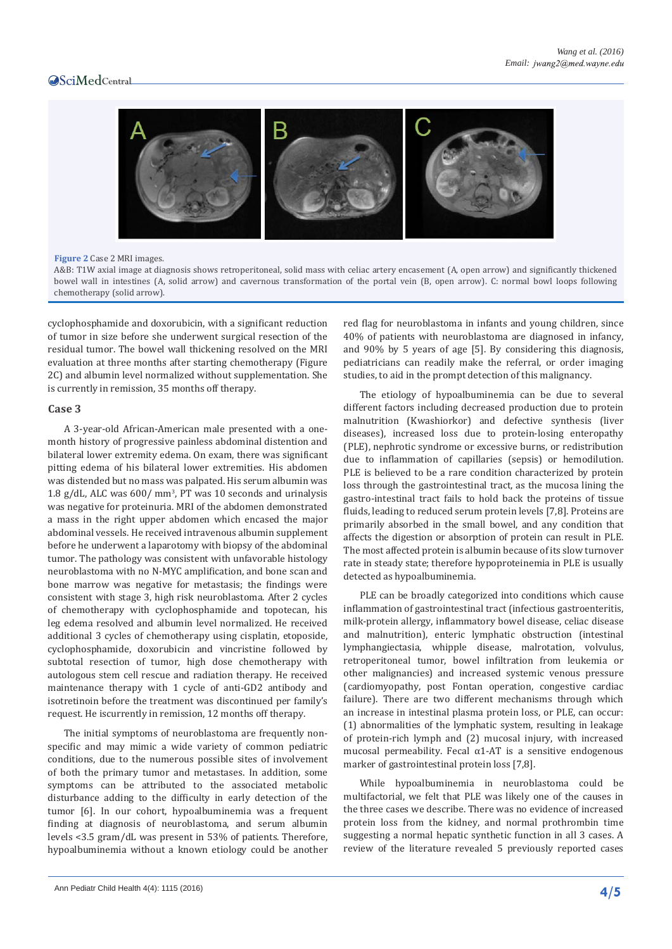

#### **Figure 2** Case 2 MRI images.

A&B: T1W axial image at diagnosis shows retroperitoneal, solid mass with celiac artery encasement (A, open arrow) and significantly thickened bowel wall in intestines (A, solid arrow) and cavernous transformation of the portal vein (B, open arrow). C: normal bowl loops following chemotherapy (solid arrow).

cyclophosphamide and doxorubicin, with a significant reduction of tumor in size before she underwent surgical resection of the residual tumor. The bowel wall thickening resolved on the MRI evaluation at three months after starting chemotherapy (Figure 2C) and albumin level normalized without supplementation. She is currently in remission, 35 months off therapy.

#### **Case 3**

A 3-year-old African-American male presented with a onemonth history of progressive painless abdominal distention and bilateral lower extremity edema. On exam, there was significant pitting edema of his bilateral lower extremities. His abdomen was distended but no mass was palpated. His serum albumin was 1.8 g/dL, ALC was 600/ mm<sup>3</sup> , PT was 10 seconds and urinalysis was negative for proteinuria. MRI of the abdomen demonstrated a mass in the right upper abdomen which encased the major abdominal vessels. He received intravenous albumin supplement before he underwent a laparotomy with biopsy of the abdominal tumor. The pathology was consistent with unfavorable histology neuroblastoma with no N-MYC amplification, and bone scan and bone marrow was negative for metastasis; the findings were consistent with stage 3, high risk neuroblastoma. After 2 cycles of chemotherapy with cyclophosphamide and topotecan, his leg edema resolved and albumin level normalized. He received additional 3 cycles of chemotherapy using cisplatin, etoposide, cyclophosphamide, doxorubicin and vincristine followed by subtotal resection of tumor, high dose chemotherapy with autologous stem cell rescue and radiation therapy. He received maintenance therapy with 1 cycle of anti-GD2 antibody and isotretinoin before the treatment was discontinued per family's request. He iscurrently in remission, 12 months off therapy.

The initial symptoms of neuroblastoma are frequently nonspecific and may mimic a wide variety of common pediatric conditions, due to the numerous possible sites of involvement of both the primary tumor and metastases. In addition, some symptoms can be attributed to the associated metabolic disturbance adding to the difficulty in early detection of the tumor [6]. In our cohort, hypoalbuminemia was a frequent finding at diagnosis of neuroblastoma, and serum albumin levels <3.5 gram/dL was present in 53% of patients. Therefore, hypoalbuminemia without a known etiology could be another red flag for neuroblastoma in infants and young children, since 40% of patients with neuroblastoma are diagnosed in infancy, and 90% by 5 years of age [5]. By considering this diagnosis, pediatricians can readily make the referral, or order imaging studies, to aid in the prompt detection of this malignancy.

The etiology of hypoalbuminemia can be due to several different factors including decreased production due to protein malnutrition (Kwashiorkor) and defective synthesis (liver diseases), increased loss due to protein-losing enteropathy (PLE), nephrotic syndrome or excessive burns, or redistribution due to inflammation of capillaries (sepsis) or hemodilution. PLE is believed to be a rare condition characterized by protein loss through the gastrointestinal tract, as the mucosa lining the gastro-intestinal tract fails to hold back the proteins of tissue fluids, leading to reduced serum protein levels [7,8]. Proteins are primarily absorbed in the [small bowel](http://en.wikipedia.org/wiki/Small_bowel), and any condition that affects the [digestion](http://en.wikipedia.org/wiki/Digestion) or [absorption](http://en.wikipedia.org/wiki/Absorption_(small_intestine)) of protein can result in PLE. The most affected protein is albumin because of its slow turnover rate in steady state; therefore hypoproteinemia in PLE is usually detected as hypoalbuminemia.

PLE can be broadly categorized into conditions which cause inflammation of gastrointestinal tract (infectious gastroenteritis, milk-protein allergy, inflammatory bowel disease, celiac disease and malnutrition), enteric lymphatic obstruction (intestinal lymphangiectasia, whipple disease, malrotation, volvulus, retroperitoneal tumor, bowel infiltration from leukemia or other malignancies) and increased systemic venous pressure (cardiomyopathy, post Fontan operation, congestive cardiac failure). There are two different mechanisms through which an increase in intestinal plasma protein loss, or PLE, can occur: (1) abnormalities of the lymphatic system, resulting in leakage of protein-rich lymph and (2) mucosal injury, with increased mucosal permeability. Fecal  $\alpha$ 1-AT is a sensitive endogenous marker of gastrointestinal protein loss [7,8].

While hypoalbuminemia in neuroblastoma could be multifactorial, we felt that PLE was likely one of the causes in the three cases we describe. There was no evidence of increased protein loss from the kidney, and normal prothrombin time suggesting a normal hepatic synthetic function in all 3 cases. A review of the literature revealed 5 previously reported cases